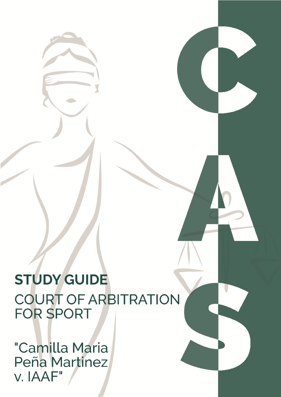**STUDY GUIDE COURT OF ARBITRATION FOR SPORT** 

"Camilla Maria Peña Martinez v. IAAF"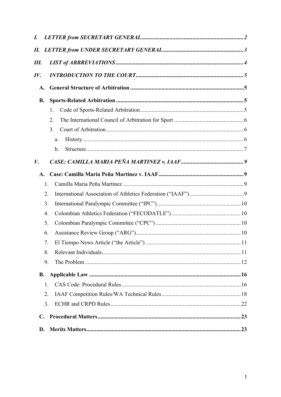| I.               |     |  |  |
|------------------|-----|--|--|
| П.               |     |  |  |
| Ш.               |     |  |  |
| $I\mathcal{V}$ . |     |  |  |
| A.               |     |  |  |
| <b>B.</b>        |     |  |  |
|                  | 1.  |  |  |
|                  | 2.  |  |  |
|                  | 3.  |  |  |
|                  | a.  |  |  |
|                  | b.  |  |  |
| V.               |     |  |  |
| A.               |     |  |  |
|                  | 1.  |  |  |
|                  | 2.  |  |  |
|                  | 3.  |  |  |
|                  | 4.  |  |  |
|                  | 5.  |  |  |
|                  | 6.  |  |  |
|                  | 7.  |  |  |
|                  | 8.  |  |  |
|                  | 9.  |  |  |
| <b>B.</b>        |     |  |  |
|                  | 1.  |  |  |
|                  | 2.  |  |  |
|                  | 3.  |  |  |
| $\mathbf{C}$ .   |     |  |  |
| D.               | .23 |  |  |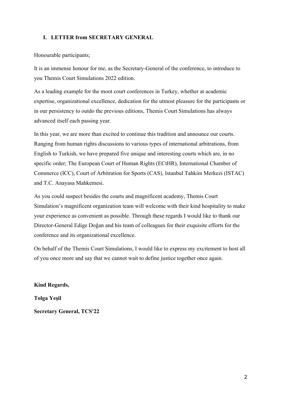### **I. LETTER from SECRETARY GENERAL**

Honourable participants;

It is an immense honour for me, as the Secretary-General of the conference, to introduce to you Themis Court Simulations 2022 edition.

As a leading example for the moot court conferences in Turkey, whether at academic expertise, organizational excellence, dedication for the utmost pleasure for the participants or in our persistency to outdo the previous editions, Themis Court Simulations has always advanced itself each passing year.

In this year, we are more than excited to continue this tradition and announce our courts. Ranging from human rights discussions to various types of international arbitrations, from English to Turkish, we have prepared five unique and interesting courts which are, in no specific order; The European Court of Human Rights (ECtHR), International Chamber of Commerce (ICC), Court of Arbitration for Sports (CAS), Istanbul Tahkim Merkezi (ISTAC) and T.C. Anayasa Mahkemesi.

As you could suspect besides the courts and magnificent academy, Themis Court Simulation's magnificent organization team will welcome with their kind hospitality to make your experience as convenient as possible. Through these regards I would like to thank our Director-General Edige Doğan and his team of colleagues for their exquisite efforts for the conference and its organizational excellence.

On behalf of the Themis Court Simulations, I would like to express my excitement to host all of you once more and say that we cannot wait to define justice together once again.

**Kind Regards,**

**Tolga Yeşil Secretary General, TCS'22**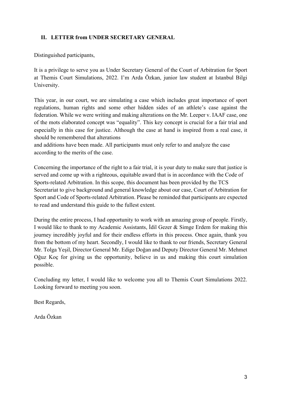## **II. LETTER from UNDER SECRETARY GENERAL**

Distinguished participants,

It is a privilege to serve you as Under Secretary General of the Court of Arbitration for Sport at Themis Court Simulations, 2022. I'm Arda Özkan, junior law student at Istanbul Bilgi University.

This year, in our court, we are simulating a case which includes great importance of sport regulations, human rights and some other hidden sides of an athlete's case against the federation. While we were writing and making alterations on the Mr. Leeper v. IAAF case, one of the mots elaborated concept was "equality". This key concept is crucial for a fair trial and especially in this case for justice. Although the case at hand is inspired from a real case, it should be remembered that alterations

and additions have been made. All participants must only refer to and analyze the case according to the merits of the case.

Concerning the importance of the right to a fair trial, it is your duty to make sure that justice is served and come up with a righteous, equitable award that is in accordance with the Code of Sports-related Arbitration. In this scope, this document has been provided by the TCS Secretariat to give background and general knowledge about our case, Court of Arbitration for Sport and Code of Sports-related Arbitration. Please be reminded that participants are expected to read and understand this guide to the fullest extent.

During the entire process, I had opportunity to work with an amazing group of people. Firstly, I would like to thank to my Academic Assistants, İdil Gezer & Simge Erdem for making this journey incredibly joyful and for their endless efforts in this process. Once again, thank you from the bottom of my heart. Secondly, I would like to thank to our friends, Secretary General Mr. Tolga Yeşil, Director General Mr. Edige Doğan and Deputy Director General Mr. Mehmet Oğuz Koç for giving us the opportunity, believe in us and making this court simulation possible.

Concluding my letter, I would like to welcome you all to Themis Court Simulations 2022. Looking forward to meeting you soon.

Best Regards,

Arda Özkan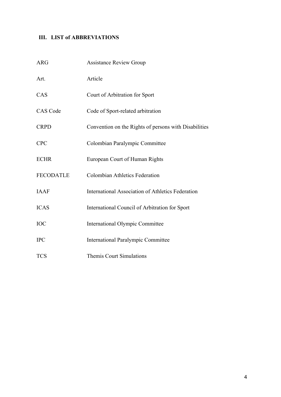# **III. LIST of ABBREVIATIONS**

| <b>ARG</b>       | Assistance Review Group                                  |
|------------------|----------------------------------------------------------|
| Art.             | Article                                                  |
| CAS              | Court of Arbitration for Sport                           |
| CAS Code         | Code of Sport-related arbitration                        |
| <b>CRPD</b>      | Convention on the Rights of persons with Disabilities    |
| <b>CPC</b>       | Colombian Paralympic Committee                           |
| <b>ECHR</b>      | European Court of Human Rights                           |
| <b>FECODATLE</b> | <b>Colombian Athletics Federation</b>                    |
| <b>IAAF</b>      | <b>International Association of Athletics Federation</b> |
| <b>ICAS</b>      | International Council of Arbitration for Sport           |
| <b>IOC</b>       | International Olympic Committee                          |
| <b>IPC</b>       | <b>International Paralympic Committee</b>                |
| <b>TCS</b>       | Themis Court Simulations                                 |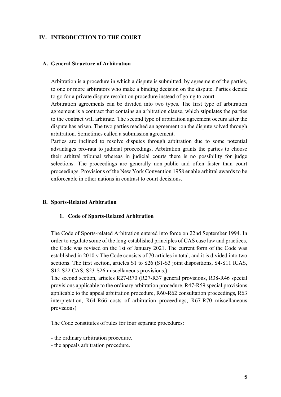### **IV. INTRODUCTION TO THE COURT**

#### **A. General Structure of Arbitration**

Arbitration is a procedure in which a dispute is submitted, by agreement of the parties, to one or more arbitrators who make a binding decision on the dispute. Parties decide to go for a private dispute resolution procedure instead of going to court.

Arbitration agreements can be divided into two types. The first type of arbitration agreement is a contract that contains an arbitration clause, which stipulates the parties to the contract will arbitrate. The second type of arbitration agreement occurs after the dispute has arisen. The two parties reached an agreement on the dispute solved through arbitration. Sometimes called a submission agreement.

Parties are inclined to resolve disputes through arbitration due to some potential advantages pro-rata to judicial proceedings. Arbitration grants the parties to choose their arbitral tribunal whereas in judicial courts there is no possibility for judge selections. The proceedings are generally non-public and often faster than court proceedings. Provisions of the New York Convention 1958 enable arbitral awards to be enforceable in other nations in contrast to court decisions.

#### **B. Sports-Related Arbitration**

#### **1. Code of Sports-Related Arbitration**

The Code of Sports-related Arbitration entered into force on 22nd September 1994. In order to regulate some of the long-established principles of CAS case law and practices, the Code was revised on the 1st of January 2021. The current form of the Code was established in 2010.v The Code consists of 70 articles in total, and it is divided into two sections. The first section, articles S1 to S26 (S1-S3 joint dispositions, S4-S11 ICAS, S12-S22 CAS, S23-S26 miscellaneous provisions.)

The second section, articles R27-R70 (R27-R37 general provisions, R38-R46 special provisions applicable to the ordinary arbitration procedure, R47-R59 special provisions applicable to the appeal arbitration procedure, R60-R62 consultation proceedings, R63 interpretation, R64-R66 costs of arbitration proceedings, R67-R70 miscellaneous provisions)

The Code constitutes of rules for four separate procedures:

- the ordinary arbitration procedure.
- the appeals arbitration procedure.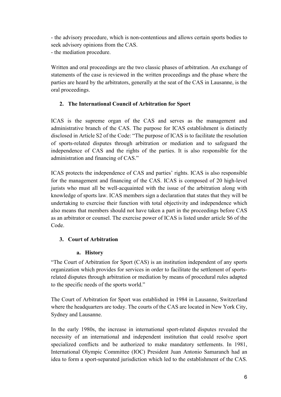- the advisory procedure, which is non-contentious and allows certain sports bodies to seek advisory opinions from the CAS. - the mediation procedure.

Written and oral proceedings are the two classic phases of arbitration. An exchange of statements of the case is reviewed in the written proceedings and the phase where the parties are heard by the arbitrators, generally at the seat of the CAS in Lausanne, is the oral proceedings.

### **2. The International Council of Arbitration for Sport**

ICAS is the supreme organ of the CAS and serves as the management and administrative branch of the CAS. The purpose for ICAS establishment is distinctly disclosed in Article S2 of the Code: "The purpose of ICAS is to facilitate the resolution of sports-related disputes through arbitration or mediation and to safeguard the independence of CAS and the rights of the parties. It is also responsible for the administration and financing of CAS."

ICAS protects the independence of CAS and parties' rights. ICAS is also responsible for the management and financing of the CAS. ICAS is composed of 20 high-level jurists who must all be well-acquainted with the issue of the arbitration along with knowledge of sports law. ICAS members sign a declaration that states that they will be undertaking to exercise their function with total objectivity and independence which also means that members should not have taken a part in the proceedings before CAS as an arbitrator or counsel. The exercise power of ICAS is listed under article S6 of the Code.

### **3. Court of Arbitration**

### **a. History**

"The Court of Arbitration for Sport (CAS) is an institution independent of any sports organization which provides for services in order to facilitate the settlement of sportsrelated disputes through arbitration or mediation by means of procedural rules adapted to the specific needs of the sports world."

The Court of Arbitration for Sport was established in 1984 in Lausanne, Switzerland where the headquarters are today. The courts of the CAS are located in New York City, Sydney and Lausanne.

In the early 1980s, the increase in international sport-related disputes revealed the necessity of an international and independent institution that could resolve sport specialized conflicts and be authorized to make mandatory settlements. In 1981, International Olympic Committee (IOC) President Juan Antonio Samaranch had an idea to form a sport-separated jurisdiction which led to the establishment of the CAS.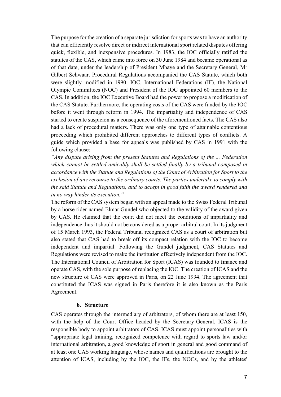The purpose for the creation of a separate jurisdiction for sports was to have an authority that can efficiently resolve direct or indirect international sport related disputes offering quick, flexible, and inexpensive procedures. In 1983, the IOC officially ratified the statutes of the CAS, which came into force on 30 June 1984 and became operational as of that date, under the leadership of President Mbaye and the Secretary General, Mr Gilbert Schwaar. Procedural Regulations accompanied the CAS Statute, which both were slightly modified in 1990. IOC, International Federations (IF), the National Olympic Committees (NOC) and President of the IOC appointed 60 members to the CAS. In addition, the IOC Executive Board had the power to propose a modification of the CAS Statute. Furthermore, the operating costs of the CAS were funded by the IOC before it went through reform in 1994. The impartiality and independence of CAS started to create suspicion as a consequence of the aforementioned facts. The CAS also had a lack of procedural matters. There was only one type of attainable contentious proceeding which prohibited different approaches to different types of conflicts. A guide which provided a base for appeals was published by CAS in 1991 with the following clause:

*"Any dispute arising from the present Statutes and Regulations of the ... Federation which cannot be settled amicably shall be settled finally by a tribunal composed in accordance with the Statute and Regulations of the Court of Arbitration for Sport to the exclusion of any recourse to the ordinary courts. The parties undertake to comply with the said Statute and Regulations, and to accept in good faith the award rendered and in no way hinder its execution."*

The reform of the CAS system began with an appeal made to the Swiss Federal Tribunal by a horse rider named Elmar Gundel who objected to the validity of the award given by CAS. He claimed that the court did not meet the conditions of impartiality and independence thus it should not be considered as a proper arbitral court. In its judgment of 15 March 1993, the Federal Tribunal recognized CAS as a court of arbitration but also stated that CAS had to break off its compact relation with the IOC to become independent and impartial. Following the Gundel judgment, CAS Statutes and Regulations were revised to make the institution effectively independent from the IOC. The International Council of Arbitration for Sport (ICAS) was founded to finance and operate CAS, with the sole purpose of replacing the IOC. The creation of ICAS and the new structure of CAS were approved in Paris, on 22 June 1994. The agreement that constituted the ICAS was signed in Paris therefore it is also known as the Paris Agreement.

#### **b. Structure**

CAS operates through the intermediary of arbitrators, of whom there are at least 150, with the help of the Court Office headed by the Secretary-General. ICAS is the responsible body to appoint arbitrators of CAS. ICAS must appoint personalities with "appropriate legal training, recognized competence with regard to sports law and/or international arbitration, a good knowledge of sport in general and good command of at least one CAS working language, whose names and qualifications are brought to the attention of ICAS, including by the IOC, the IFs, the NOCs, and by the athletes'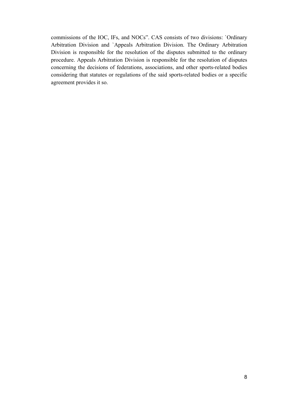commissions of the IOC, IFs, and NOCs". CAS consists of two divisions: `Ordinary Arbitration Division and `Appeals Arbitration Division. The Ordinary Arbitration Division is responsible for the resolution of the disputes submitted to the ordinary procedure. Appeals Arbitration Division is responsible for the resolution of disputes concerning the decisions of federations, associations, and other sports-related bodies considering that statutes or regulations of the said sports-related bodies or a specific agreement provides it so.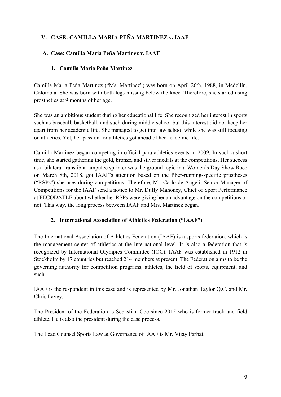# **V. CASE: CAMILLA MARIA PEÑA MARTINEZ v. IAAF**

## **A. Case: Camilla Maria Peña Martinez v. IAAF**

### **1. Camilla Maria Peña Martinez**

Camilla Maria Peña Martinez ("Ms. Martinez") was born on April 26th, 1988, in Medellín, Colombia. She was born with both legs missing below the knee. Therefore, she started using prosthetics at 9 months of her age.

She was an ambitious student during her educational life. She recognized her interest in sports such as baseball, basketball, and such during middle school but this interest did not keep her apart from her academic life. She managed to get into law school while she was still focusing on athletics. Yet, her passion for athletics got ahead of her academic life.

Camilla Martinez began competing in official para-athletics events in 2009. In such a short time, she started gathering the gold, bronze, and silver medals at the competitions. Her success as a bilateral transtibial amputee sprinter was the ground topic in a Women's Day Show Race on March 8th, 2018. got IAAF's attention based on the fiber-running-specific prostheses ("RSPs") she uses during competitions. Therefore, Mr. Carlo de Angeli, Senior Manager of Competitions for the IAAF send a notice to Mr. Duffy Mahoney, Chief of Sport Performance at FECODATLE about whether her RSPs were giving her an advantage on the competitions or not. This way, the long process between IAAF and Mrs. Martinez began.

### **2. International Association of Athletics Federation ("IAAF")**

The International Association of Athletics Federation (IAAF) is a sports federation, which is the management center of athletics at the international level. It is also a federation that is recognized by International Olympics Committee (IOC). IAAF was established in 1912 in Stockholm by 17 countries but reached 214 members at present. The Federation aims to be the governing authority for competition programs, athletes, the field of sports, equipment, and such.

IAAF is the respondent in this case and is represented by Mr. Jonathan Taylor Q.C. and Mr. Chris Lavey.

The President of the Federation is Sebastian Coe since 2015 who is former track and field athlete. He is also the president during the case process.

The Lead Counsel Sports Law & Governance of IAAF is Mr. Vijay Parbat.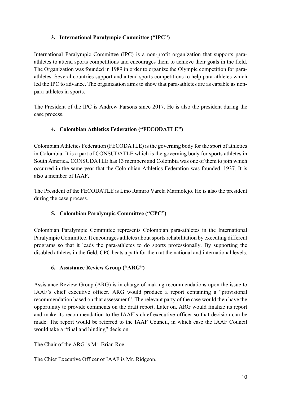# **3. International Paralympic Committee ("IPC")**

International Paralympic Committee (IPC) is a non-profit organization that supports paraathletes to attend sports competitions and encourages them to achieve their goals in the field. The Organization was founded in 1989 in order to organize the Olympic competition for paraathletes. Several countries support and attend sports competitions to help para-athletes which led the IPC to advance. The organization aims to show that para-athletes are as capable as nonpara-athletes in sports.

The President of the IPC is Andrew Parsons since 2017. He is also the president during the case process.

# **4. Colombian Athletics Federation ("FECODATLE")**

Colombian Athletics Federation (FECODATLE) is the governing body for the sport of athletics in Colombia. It is a part of CONSUDATLE which is the governing body for sports athletes in South America. CONSUDATLE has 13 members and Colombia was one of them to join which occurred in the same year that the Colombian Athletics Federation was founded, 1937. It is also a member of IAAF.

The President of the FECODATLE is Lino Ramiro Varela Marmolejo. He is also the president during the case process.

# **5. Colombian Paralympic Committee ("CPC")**

Colombian Paralympic Committee represents Colombian para-athletes in the International Paralympic Committee. It encourages athletes about sports rehabilitation by executing different programs so that it leads the para-athletes to do sports professionally. By supporting the disabled athletes in the field, CPC beats a path for them at the national and international levels.

# **6. Assistance Review Group ("ARG")**

Assistance Review Group (ARG) is in charge of making recommendations upon the issue to IAAF's chief executive officer. ARG would produce a report containing a "provisional recommendation based on that assessment". The relevant party of the case would then have the opportunity to provide comments on the draft report. Later on, ARG would finalize its report and make its recommendation to the IAAF's chief executive officer so that decision can be made. The report would be referred to the IAAF Council, in which case the IAAF Council would take a "final and binding" decision.

The Chair of the ARG is Mr. Brian Roe.

The Chief Executive Officer of IAAF is Mr. Ridgeon.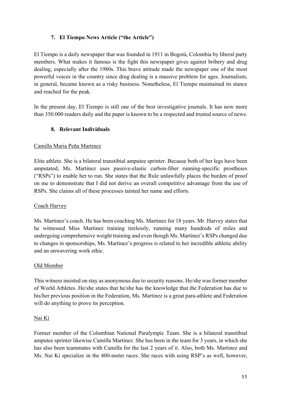## **7. El Tiempo News Article ("the Article")**

El Tiempo is a daily newspaper that was founded in 1911 in Bogotà, Colombia by liberal party members. What makes it famous is the fight this newspaper gives against bribery and drug dealing, especially after the 1980s. This brave attitude made the newspaper one of the most powerful voices in the country since drug dealing is a massive problem for ages. Journalism, in general, became known as a risky business. Nonetheless, El Tiempo maintained its stance and reached for the peak.

In the present day, El Tiempo is still one of the best investigative journals. It has now more than 350.000 readers daily and the paper is known to be a respected and trusted source of news.

## **8. Relevant Individuals**

### Camilla Maria Peña Martinez

Elite athlete. She is a bilateral transtibial amputee sprinter. Because both of her legs have been amputated, Ms. Martinez uses passive-elastic carbon-fiber running-specific prostheses ("RSPs") to enable her to run. She states that the Rule unlawfully places the burden of proof on me to demonstrate that I did not derive an overall competitive advantage from the use of RSPs. She claims all of these processes tainted her name and efforts.

### Coach Harvey

Ms. Martinez's coach. He has been coaching Ms. Martinez for 18 years. Mr. Harvey states that he witnessed Miss Martinez training tirelessly, running many hundreds of miles and undergoing comprehensive weight training and even though Ms. Martinez's RSPs changed due to changes in sponsorships, Ms. Martinez's progress is related to her incredible athletic ability and an unwavering work ethic.

### Old Member

This witness insisted on stay as anonymous due to security reasons. He/she was former member of World Athletes. He/she states that he/she has the knowledge that the Federation has due to his/her previous position in the Federation, Ms. Martinez is a great para-athlete and Federation will do anything to prove its perception.

### Nai Ki

Former member of the Colombian National Paralympic Team. She is a bilateral transtibial amputee sprinter likewise Camilla Martinez. She has been in the team for 3 years, in which she has also been teammates with Camilla for the last 2 years of it. Also, both Ms. Martinez and Ms. Nai Ki specialize in the 400-meter races. She races with using RSP's as well, however,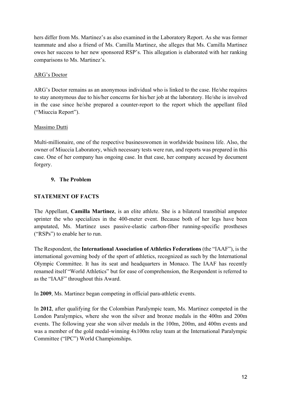hers differ from Ms. Martinez's as also examined in the Laboratory Report. As she was former teammate and also a friend of Ms. Camilla Martinez, she alleges that Ms. Camilla Martinez owes her success to her new sponsored RSP's. This allegation is elaborated with her ranking comparisons to Ms. Martinez's.

### ARG's Doctor

ARG's Doctor remains as an anonymous individual who is linked to the case. He/she requires to stay anonymous due to his/her concerns for his/her job at the laboratory. He/she is involved in the case since he/she prepared a counter-report to the report which the appellant filed ("Miuccia Report").

### Massimo Dutti

Multi-millionaire, one of the respective businesswomen in worldwide business life. Also, the owner of Miuccia Laboratory, which necessary tests were run, and reports was prepared in this case. One of her company has ongoing case. In that case, her company accused by document forgery.

### **9. The Problem**

## **STATEMENT OF FACTS**

The Appellant, **Camilla Martinez**, is an elite athlete. She is a bilateral transtibial amputee sprinter the who specializes in the 400-meter event. Because both of her legs have been amputated, Ms. Martinez uses passive-elastic carbon-fiber running-specific prostheses ("RSPs") to enable her to run.

The Respondent, the **International Association of Athletics Federations** (the "IAAF"), is the international governing body of the sport of athletics, recognized as such by the International Olympic Committee. It has its seat and headquarters in Monaco. The IAAF has recently renamed itself "World Athletics" but for ease of comprehension, the Respondent is referred to as the "IAAF" throughout this Award.

In **2009**, Ms. Martinez began competing in official para-athletic events.

In **2012**, after qualifying for the Colombian Paralympic team, Ms. Martinez competed in the London Paralympics, where she won the silver and bronze medals in the 400m and 200m events. The following year she won silver medals in the 100m, 200m, and 400m events and was a member of the gold medal-winning 4x100m relay team at the International Paralympic Committee ("IPC") World Championships.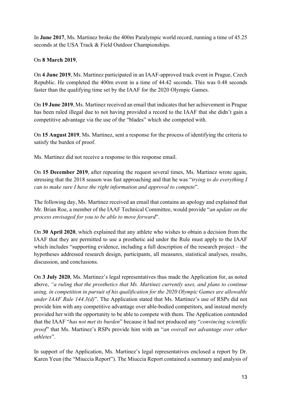In **June 2017**, Ms. Martinez broke the 400m Paralympic world record, running a time of 45.25 seconds at the USA Track & Field Outdoor Championships.

## On **8 March 2019**,

On **4 June 2019**, Ms. Martinez participated in an IAAF-approved track event in Prague, Czech Republic. He completed the 400m event in a time of 44.42 seconds. This was 0.48 seconds faster than the qualifying time set by the IAAF for the 2020 Olympic Games.

On **19 June 2019**, Ms. Martinez received an email that indicates that her achievement in Prague has been ruled illegal due to not having provided a record to the IAAF that she didn't gain a competitive advantage via the use of the "blades" which she competed with.

On **15 August 2019**, Ms. Martinez, sent a response for the process of identifying the criteria to satisfy the burden of proof.

Ms. Martinez did not receive a response to this response email.

On **15 December 2019**, after repeating the request several times, Ms. Martinez wrote again, stressing that the 2018 season was fast approaching and that he was "*trying to do everything I can to make sure I have the right information and approval to compete*".

The following day, Ms. Martinez received an email that contains an apology and explained that Mr. Brian Roe, a member of the IAAF Technical Committee, would provide "*an update on the process envisaged for you to be able to move forward*".

On **30 April 2020**, which explained that any athlete who wishes to obtain a decision from the IAAF that they are permitted to use a prosthetic aid under the Rule must apply to the IAAF which includes "supporting evidence, including a full description of the research project – the hypotheses addressed research design, participants, all measures, statistical analyses, results, discussion, and conclusions.

On **3 July 2020**, Ms. Martinez's legal representatives thus made the Application for, as noted above, *"a ruling that the prosthetics that Ms. Martinez currently uses, and plans to continue using, in competition in pursuit of his qualification for the 2020 Olympic Games are allowable under IAAF Rule 144.3(d)*". The Application stated that Ms. Martinez's use of RSPs did not provide him with any competitive advantage over able-bodied competitors, and instead merely provided her with the opportunity to be able to compete with them. The Application contended that the IAAF "*has not met its burden*" because it had not produced any "*convincing scientific proof*" that Ms. Martinez's RSPs provide him with an "*an overall net advantage over other athletes*".

In support of the Application, Ms. Martinez's legal representatives enclosed a report by Dr. Karen Yeun (the "Miuccia Report"). The Miuccia Report contained a summary and analysis of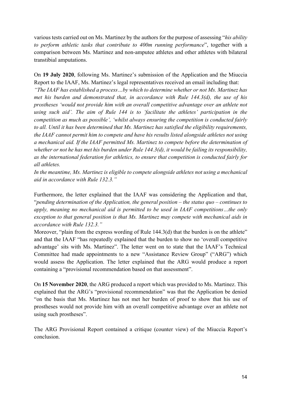various tests carried out on Ms. Martinez by the authors for the purpose of assessing "*his ability to perform athletic tasks that contribute to 400m running performance*", together with a comparison between Ms. Martinez and non-amputee athletes and other athletes with bilateral transtibial amputations.

On **19 July 2020**, following Ms. Martinez's submission of the Application and the Miuccia Report to the IAAF, Ms. Martinez's legal representatives received an email including that: *"The IAAF has established a process…by which to determine whether or not Ms. Martinez has met his burden and demonstrated that, in accordance with Rule 144.3(d), the use of his prostheses 'would not provide him with an overall competitive advantage over an athlete not using such aid'. The aim of Rule 144 is to 'facilitate the athletes' participation in the competition as much as possible', 'whilst always ensuring the competition is conducted fairly to all. Until it has been determined that Ms. Martinez has satisfied the eligibility requirements, the IAAF cannot permit him to compete and have his results listed alongside athletes not using a mechanical aid. If the IAAF permitted Ms. Martinez to compete before the determination of whether or not he has met his burden under Rule 144.3(d), it would be failing its responsibility, as the international federation for athletics, to ensure that competition is conducted fairly for all athletes.*

*In the meantime, Ms. Martinez is eligible to compete alongside athletes not using a mechanical aid in accordance with Rule 132.3."*

Furthermore, the letter explained that the IAAF was considering the Application and that, "*pending determination of the Application, the general position – the status quo – continues to apply, meaning no mechanical aid is permitted to be used in IAAF competitions…the only exception to that general position is that Ms. Martinez may compete with mechanical aids in accordance with Rule 132.3."*

Moreover, "plain from the express wording of Rule 144.3(d) that the burden is on the athlete" and that the IAAF "has repeatedly explained that the burden to show no 'overall competitive advantage' sits with Ms. Martinez". The letter went on to state that the IAAF's Technical Committee had made appointments to a new "Assistance Review Group" ("ARG") which would assess the Application. The letter explained that the ARG would produce a report containing a "provisional recommendation based on that assessment".

On **15 November 2020**, the ARG produced a report which was provided to Ms. Martinez. This explained that the ARG's "provisional recommendation" was that the Application be denied "on the basis that Ms. Martinez has not met her burden of proof to show that his use of prostheses would not provide him with an overall competitive advantage over an athlete not using such prostheses".

The ARG Provisional Report contained a critique (counter view) of the Miuccia Report's conclusion.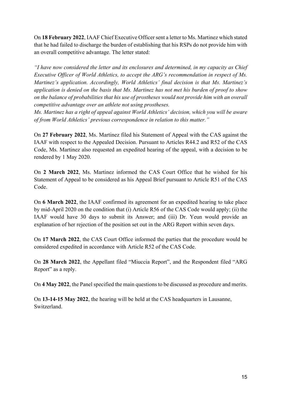On **18 February 2022**, IAAF Chief Executive Officer sent a letter to Ms. Martinez which stated that he had failed to discharge the burden of establishing that his RSPs do not provide him with an overall competitive advantage. The letter stated:

*"I have now considered the letter and its enclosures and determined, in my capacity as Chief Executive Officer of World Athletics, to accept the ARG's recommendation in respect of Ms. Martinez's application. Accordingly, World Athletics' final decision is that Ms. Martinez's application is denied on the basis that Ms. Martinez has not met his burden of proof to show on the balance of probabilities that his use of prostheses would not provide him with an overall competitive advantage over an athlete not using prostheses.*

*Ms. Martinez has a right of appeal against World Athletics' decision, which you will be aware of from World Athletics' previous correspondence in relation to this matter."*

On **27 February 2022**, Ms. Martinez filed his Statement of Appeal with the CAS against the IAAF with respect to the Appealed Decision. Pursuant to Articles R44.2 and R52 of the CAS Code, Ms. Martinez also requested an expedited hearing of the appeal, with a decision to be rendered by 1 May 2020.

On **2 March 2022**, Ms. Martinez informed the CAS Court Office that he wished for his Statement of Appeal to be considered as his Appeal Brief pursuant to Article R51 of the CAS Code.

On **6 March 2022**, the IAAF confirmed its agreement for an expedited hearing to take place by mid-April 2020 on the condition that (i) Article R56 of the CAS Code would apply; (ii) the IAAF would have 30 days to submit its Answer; and (iii) Dr. Yeun would provide an explanation of her rejection of the position set out in the ARG Report within seven days.

On **17 March 2022**, the CAS Court Office informed the parties that the procedure would be considered expedited in accordance with Article R52 of the CAS Code.

On **28 March 2022**, the Appellant filed "Miuccia Report", and the Respondent filed "ARG Report" as a reply.

On **4 May 2022**, the Panel specified the main questions to be discussed as procedure and merits.

On **13-14-15 May 2022**, the hearing will be held at the CAS headquarters in Lausanne, Switzerland.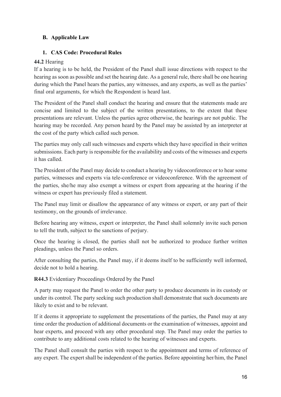## **B. Applicable Law**

### **1. CAS Code: Procedural Rules**

### **44.2** Hearing

If a hearing is to be held, the President of the Panel shall issue directions with respect to the hearing as soon as possible and set the hearing date. As a general rule, there shall be one hearing during which the Panel hears the parties, any witnesses, and any experts, as well as the parties' final oral arguments, for which the Respondent is heard last.

The President of the Panel shall conduct the hearing and ensure that the statements made are concise and limited to the subject of the written presentations, to the extent that these presentations are relevant. Unless the parties agree otherwise, the hearings are not public. The hearing may be recorded. Any person heard by the Panel may be assisted by an interpreter at the cost of the party which called such person.

The parties may only call such witnesses and experts which they have specified in their written submissions. Each party is responsible for the availability and costs of the witnesses and experts it has called.

The President of the Panel may decide to conduct a hearing by videoconference or to hear some parties, witnesses and experts via tele-conference or videoconference. With the agreement of the parties, she/he may also exempt a witness or expert from appearing at the hearing if the witness or expert has previously filed a statement.

The Panel may limit or disallow the appearance of any witness or expert, or any part of their testimony, on the grounds of irrelevance.

Before hearing any witness, expert or interpreter, the Panel shall solemnly invite such person to tell the truth, subject to the sanctions of perjury.

Once the hearing is closed, the parties shall not be authorized to produce further written pleadings, unless the Panel so orders.

After consulting the parties, the Panel may, if it deems itself to be sufficiently well informed, decide not to hold a hearing.

**R44.3** Evidentiary Proceedings Ordered by the Panel

A party may request the Panel to order the other party to produce documents in its custody or under its control. The party seeking such production shall demonstrate that such documents are likely to exist and to be relevant.

If it deems it appropriate to supplement the presentations of the parties, the Panel may at any time order the production of additional documents or the examination of witnesses, appoint and hear experts, and proceed with any other procedural step. The Panel may order the parties to contribute to any additional costs related to the hearing of witnesses and experts.

The Panel shall consult the parties with respect to the appointment and terms of reference of any expert. The expert shall be independent of the parties. Before appointing her/him, the Panel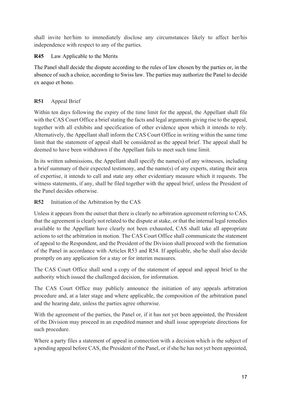shall invite her/him to immediately disclose any circumstances likely to affect her/his independence with respect to any of the parties.

## **R45** Law Applicable to the Merits

The Panel shall decide the dispute according to the rules of law chosen by the parties or, in the absence of such a choice, according to Swiss law. The parties may authorize the Panel to decide ex aequo et bono.

# **R51** Appeal Brief

Within ten days following the expiry of the time limit for the appeal, the Appellant shall file with the CAS Court Office a brief stating the facts and legal arguments giving rise to the appeal, together with all exhibits and specification of other evidence upon which it intends to rely. Alternatively, the Appellant shall inform the CAS Court Office in writing within the same time limit that the statement of appeal shall be considered as the appeal brief. The appeal shall be deemed to have been withdrawn if the Appellant fails to meet such time limit.

In its written submissions, the Appellant shall specify the name(s) of any witnesses, including a brief summary of their expected testimony, and the name(s) of any experts, stating their area of expertise, it intends to call and state any other evidentiary measure which it requests. The witness statements, if any, shall be filed together with the appeal brief, unless the President of the Panel decides otherwise.

# **R52** Initiation of the Arbitration by the CAS

Unless it appears from the outset that there is clearly no arbitration agreement referring to CAS, that the agreement is clearly not related to the dispute at stake, or that the internal legal remedies available to the Appellant have clearly not been exhausted, CAS shall take all appropriate actions to set the arbitration in motion. The CAS Court Office shall communicate the statement of appeal to the Respondent, and the President of the Division shall proceed with the formation of the Panel in accordance with Articles R53 and R54. If applicable, she/he shall also decide promptly on any application for a stay or for interim measures.

The CAS Court Office shall send a copy of the statement of appeal and appeal brief to the authority which issued the challenged decision, for information.

The CAS Court Office may publicly announce the initiation of any appeals arbitration procedure and, at a later stage and where applicable, the composition of the arbitration panel and the hearing date, unless the parties agree otherwise.

With the agreement of the parties, the Panel or, if it has not yet been appointed, the President of the Division may proceed in an expedited manner and shall issue appropriate directions for such procedure.

Where a party files a statement of appeal in connection with a decision which is the subject of a pending appeal before CAS, the President of the Panel, or if she/he has not yet been appointed,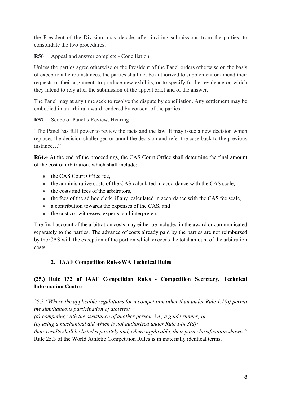the President of the Division, may decide, after inviting submissions from the parties, to consolidate the two procedures.

**R56** Appeal and answer complete - Conciliation

Unless the parties agree otherwise or the President of the Panel orders otherwise on the basis of exceptional circumstances, the parties shall not be authorized to supplement or amend their requests or their argument, to produce new exhibits, or to specify further evidence on which they intend to rely after the submission of the appeal brief and of the answer.

The Panel may at any time seek to resolve the dispute by conciliation. Any settlement may be embodied in an arbitral award rendered by consent of the parties.

**R57** Scope of Panel's Review, Hearing

"The Panel has full power to review the facts and the law. It may issue a new decision which replaces the decision challenged or annul the decision and refer the case back to the previous instance…"

**R64.4** At the end of the proceedings, the CAS Court Office shall determine the final amount of the cost of arbitration, which shall include:

- $\bullet$  the CAS Court Office fee.
- the administrative costs of the CAS calculated in accordance with the CAS scale,
- the costs and fees of the arbitrators,
- the fees of the ad hoc clerk, if any, calculated in accordance with the CAS fee scale,
- a contribution towards the expenses of the CAS, and
- the costs of witnesses, experts, and interpreters.

The final account of the arbitration costs may either be included in the award or communicated separately to the parties. The advance of costs already paid by the parties are not reimbursed by the CAS with the exception of the portion which exceeds the total amount of the arbitration costs.

### **2. IAAF Competition Rules/WA Technical Rules**

# **(25.) Rule 132 of IAAF Competition Rules - Competition Secretary, Technical Information Centre**

25.3 *"Where the applicable regulations for a competition other than under Rule 1.1(a) permit the simultaneous participation of athletes:* 

*(a) competing with the assistance of another person, i.e., a guide runner; or* 

*(b) using a mechanical aid which is not authorized under Rule 144.3(d);* 

*their results shall be listed separately and, where applicable, their para classification shown."* 

Rule 25.3 of the World Athletic Competition Rules is in materially identical terms.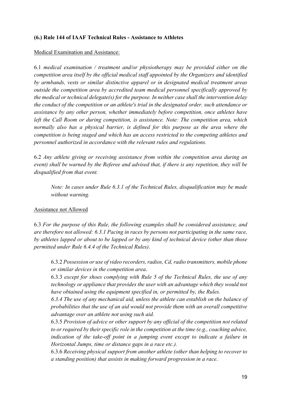### **(6.) Rule 144 of IAAF Technical Rules - Assistance to Athletes**

### Medical Examination and Assistance:

6.1 *medical examination / treatment and/or physiotherapy may be provided either on the competition area itself by the official medical staff appointed by the Organizers and identified by armbands, vests or similar distinctive apparel or in designated medical treatment areas outside the competition area by accredited team medical personnel specifically approved by the medical or technical delegate(s) for the purpose. In neither case shall the intervention delay the conduct of the competition or an athlete's trial in the designated order. such attendance or assistance by any other person, whether immediately before competition, once athletes have left the Call Room or during competition, is assistance. Note: The competition area, which normally also has a physical barrier, is defined for this purpose as the area where the competition is being staged and which has an access restricted to the competing athletes and personnel authorized in accordance with the relevant rules and regulations.*

6.2 *Any athlete giving or receiving assistance from within the competition area during an event) shall be warned by the Referee and advised that, if there is any repetition, they will be disqualified from that event.* 

*Note: In cases under Rule 6.3.1 of the Technical Rules, disqualification may be made without warning.* 

#### Assistance not Allowed

6.3 *For the purpose of this Rule, the following examples shall be considered assistance, and are therefore not allowed: 6.3.1 Pacing in races by persons not participating in the same race, by athletes lapped or about to be lapped or by any kind of technical device (other than those permitted under Rule 6.4.4 of the Technical Rules)*.

6.3.2 *Possession or use of video recorders, radios, Cd, radio transmitters, mobile phone or similar devices in the competition area*.

6.3.3 *except for shoes complying with Rule 5 of the Technical Rules, the use of any technology or appliance that provides the user with an advantage which they would not have obtained using the equipment specified in, or permitted by, the Rules.* 

*6.3.4 The use of any mechanical aid, unless the athlete can establish on the balance of probabilities that the use of an aid would not provide them with an overall competitive advantage over an athlete not using such aid.*

6.3.5 *Provision of advice or other support by any official of the competition not related to or required by their specific role in the competition at the time (e.g., coaching advice, indication of the take-off point in a jumping event except to indicate a failure in Horizontal Jumps, time or distance gaps in a race etc.).* 

6.3.6 *Receiving physical support from another athlete (other than helping to recover to a standing position) that assists in making forward progression in a race*.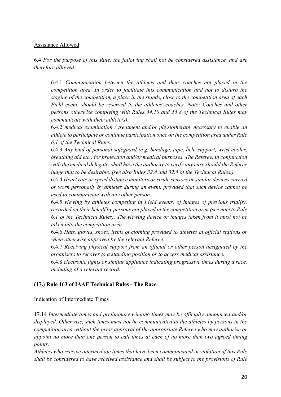### Assistance Allowed

6.4 *For the purpose of this Rule, the following shall not be considered assistance, and are therefore allowed:* 

6.4.1 *Communication between the athletes and their coaches not placed in the competition area. In order to facilitate this communication and not to disturb the staging of the competition, a place in the stands, close to the competition area of each Field event, should be reserved to the athletes' coaches. Note: Coaches and other persons otherwise complying with Rules 54.10 and 55.8 of the Technical Rules may communicate with their athlete(s).*

6.4.2 *medical examination / treatment and/or physiotherapy necessary to enable an athlete to participate or continue participation once on the competition area under Rule 6.1 of the Technical Rules*.

6.4.3 *Any kind of personal safeguard (e.g. bandage, tape, belt, support, wrist cooler, breathing aid etc.) for protection and/or medical purposes. The Referee, in conjunction with the medical delegate, shall have the authority to verify any case should the Referee judge that to be desirable. (see also Rules 32.4 and 32.5 of the Technical Rules.)* 

6.4.4 *Heart rate or speed distance monitors or stride sensors or similar devices carried or worn personally by athletes during an event, provided that such device cannot be used to communicate with any other person.* 

6.4.5 *viewing by athletes competing in Field events, of images of previous trial(s), recorded on their behalf by persons not placed in the competition area (see note to Rule 6.1 of the Technical Rules). The viewing device or images taken from it must not be taken into the competition area.* 

6.4.6 *Hats, gloves, shoes, items of clothing provided to athletes at official stations or when otherwise approved by the relevant Referee.* 

6.4.7 *Receiving physical support from an official or other person designated by the organisers to recover to a standing position or to access medical assistance.* 

6.4.8 *electronic lights or similar appliance indicating progressive times during a race, including of a relevant record.*

### **(17.) Rule 163 of IAAF Technical Rules - The Race**

### Indication of Intermediate Times

17.14 *Intermediate times and preliminary winning times may be officially announced and/or displayed. Otherwise, such times must not be communicated to the athletes by persons in the competition area without the prior approval of the appropriate Referee who may authorise or appoint no more than one person to call times at each of no more than two agreed timing points.* 

*Athletes who receive intermediate times that have been communicated in violation of this Rule shall be considered to have received assistance and shall be subject to the provisions of Rule*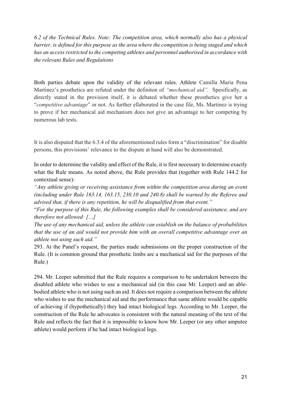*6.2 of the Technical Rules. Note: The competition area, which normally also has a physical barrier, is defined for this purpose as the area where the competition is being staged and which has an access restricted to the competing athletes and personnel authorised in accordance with the relevant Rules and Regulations*

Both parties debate upon the validity of the relevant rules. Athlete Camilla Maria Pena Martinez's prosthetics are refuted under the definiton of *"mechanical aid".* Spesifically, as directly stated in the provision itself, it is debated whether these prosthetics give her a "*competitive advantage*" or not. As further ellaborated in the case file, Ms. Martinez is trying to prove if her mechanical aid mechanism does not give an advantage to her competing by numerous lab tests.

It is also disputed that the 6.3.4 of the aforementioned rules form a "discrimination" for disable persons, this provisions' relevance to the dispute at hand will also be demonstrated.

In order to determine the validity and effect of the Rule, it is first necessary to determine exactly what the Rule means. As noted above, the Rule provides that (together with Rule 144.2 for contextual sense):

*"Any athlete giving or receiving assistance from within the competition area during an event (including under Rule 163.14, 163.15, 230.10 and 240.8) shall be warned by the Referee and advised that, if there is any repetition, he will be disqualified from that event."* 

"*For the purpose of this Rule, the following examples shall be considered assistance, and are therefore not allowed: […]* 

*The use of any mechanical aid, unless the athlete can establish on the balance of probabilities that the use of an aid would not provide him with an overall competitive advantage over an athlete not using such aid."* 

293. At the Panel's request, the parties made submissions on the proper construction of the Rule. (It is common ground that prosthetic limbs are a mechanical aid for the purposes of the Rule.)

294. Mr. Leeper submitted that the Rule requires a comparison to be undertaken between the disabled athlete who wishes to use a mechanical aid (in this case Mr. Leeper) and an ablebodied athlete who is not using such an aid. It does not require a comparison between the athlete who wishes to use the mechanical aid and the performance that same athlete would be capable of achieving if (hypothetically) they had intact biological legs. According to Mr. Leeper, the construction of the Rule he advocates is consistent with the natural meaning of the text of the Rule and reflects the fact that it is impossible to know how Mr. Leeper (or any other amputee athlete) would perform if he had intact biological legs.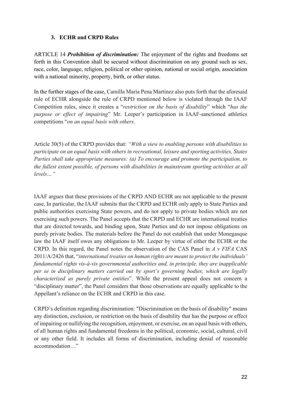### **3. ECHR and CRPD Rules**

ARTICLE 14 *Prohibition of discrimination:* The enjoyment of the rights and freedoms set forth in this Convention shall be secured without discrimination on any ground such as sex, race, color, language, religion, political or other opinion, national or social origin, association with a national minority, property, birth, or other status.

In the further stages of the case, Camilla Maria Pena Martinez also puts forth that the aforesaid rule of ECHR alongside the rule of CRPD mentioned below is violated through the IAAF Competition rules, since it creates a "*restriction on the basis of disability*" which "*has the purpose or effect of impairing*" Mr. Leeper's participation in IAAF-sanctioned athletics competitions "*on an equal basis with others.*

Article 30(5) of the CRPD provides that: *"With a view to enabling persons with disabilities to participate on an equal basis with others in recreational, leisure and sporting activities, States Parties shall take appropriate measures: (a) To encourage and promote the participation, to the fullest extent possible, of persons with disabilities in mainstream sporting activities at all levels…"* 

IAAF argues that these provisions of the CRPD AND ECHR are not applicable to the present case, In particular, the IAAF submits that the CRPD and ECHR only apply to State Parties and public authorities exercising State powers, and do not apply to private bodies which are not exercising such powers. The Panel accepts that the CRPD and ECHR are international treaties that are directed towards, and binding upon, State Parties and do not impose obligations on purely private bodies. The materials before the Panel do not establish that under Monegasque law the IAAF itself owes any obligations to Mr. Leeper by virtue of either the ECHR or the CRPD. In this regard, the Panel notes the observation of the CAS Panel in *A v FIFA* CAS 2011/A/2426 that, "*international treaties on human rights are meant to protect the individuals' fundamental rights vis-à-vis governmental authorities and, in principle, they are inapplicable per se in disciplinary matters carried out by sport's governing bodies, which are legally characterized as purely private entities*". While the present appeal does not concern a "disciplinary matter", the Panel considers that those observations are equally applicable to the Appellant's reliance on the ECHR and CRPD in this case.

CRPD's definition regarding discrimination: "Discrimination on the basis of disability" means any distinction, exclusion, or restriction on the basis of disability that has the purpose or effect of impairing or nullifying the recognition, enjoyment, or exercise, on an equal basis with others, of all human rights and fundamental freedoms in the political, economic, social, cultural, civil or any other field. It includes all forms of discrimination, including denial of reasonable accommodation…"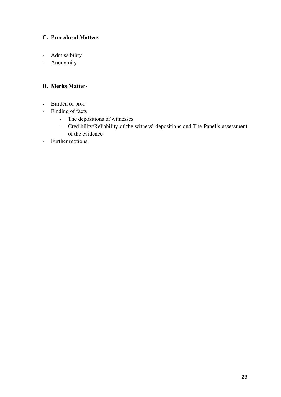## **C. Procedural Matters**

- Admissibility
- Anonymity

### **D. Merits Matters**

- Burden of prof
- Finding of facts
	- The depositions of witnesses
	- Credibility/Reliability of the witness' depositions and The Panel's assessment of the evidence
- Further motions